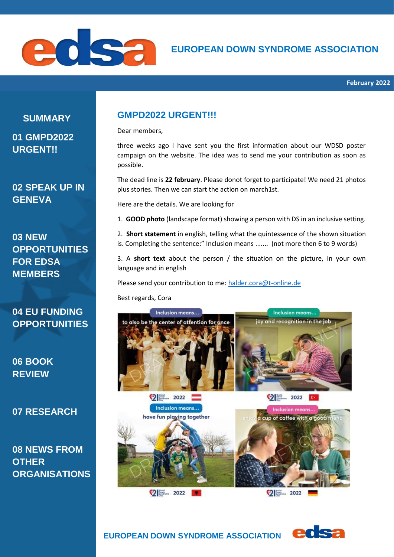

**SUMMARY 01 GMPD2022** 

**URGENT!!**

**02 SPEAK UP IN GENEVA**

**03 NEW OPPORTUNITIES FOR EDSA MEMBERS**

**04 EU FUNDING OPPORTUNITIES**

**06 BOOK REVIEW**

**07 RESEARCH**

**08 NEWS FROM OTHER ORGANISATIONS**

# **GMPD2022 URGENT!!!**

Dear members,

three weeks ago I have sent you the first information about our WDSD poster campaign on the website. The idea was to send me your contribution as soon as possible.

The dead line is **22 february**. Please donot forget to participate! We need 21 photos plus stories. Then we can start the action on march1st.

Here are the details. We are looking for

1. **GOOD photo** (landscape format) showing a person with DS in an inclusive setting.

2. **Short statement** in english, telling what the quintessence of the shown situation is. Completing the sentence:" Inclusion means ....... (not more then 6 to 9 words)

3. A **short text** about the person / the situation on the picture, in your own language and in english

Please send your contribution to me: [halder.cora@t-online.de](mailto:halder.cora@t-online.de)

Best regards, Cora



eds:

 **EUROPEAN DOWN SYNDROME ASSOCIATION**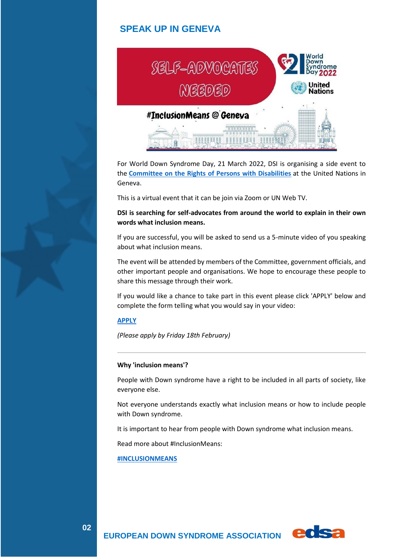# **SPEAK UP IN GENEVA**



For World Down Syndrome Day, 21 March 2022, DSI is organising a side event to the **[Committee on the Rights of Persons with Disabilities](https://www.ohchr.org/en/hrbodies/crpd/pages/crpdindex.aspx)** at the United Nations in Geneva.

This is a virtual event that it can be join via Zoom or UN Web TV.

**DSI is searching for self-advocates from around the world to explain in their own words what inclusion means.**

If you are successful, you will be asked to send us a 5-minute video of you speaking about what inclusion means.

The event will be attended by members of the Committee, government officials, and other important people and organisations. We hope to encourage these people to share this message through their work.

If you would like a chance to take part in this event please click 'APPLY' below and complete the form telling what you would say in your video:

#### **[APPLY](https://forms.ds-int.org/downsyndromeinternational/form/ApplytospeakatUnitedNationsGenevaforWDSD/formperma/oyECOMPpsYsIlcEjvNj4CPhKp4LKXJua2Nogw45Dn_8)**

*(Please apply by Friday 18th February)*

### **Why 'inclusion means'?**

People with Down syndrome have a right to be included in all parts of society, like everyone else.

Not everyone understands exactly what inclusion means or how to include people with Down syndrome.

It is important to hear from people with Down syndrome what inclusion means.

Read more about #InclusionMeans:

 **EUROPEAN DOWN SYNDROME ASSOCIATION** 

#### **[#INCLUSIONMEANS](https://www.ds-int.org/Blogs/wdsd-updates/wdsd-2022-inclusion-means/)**

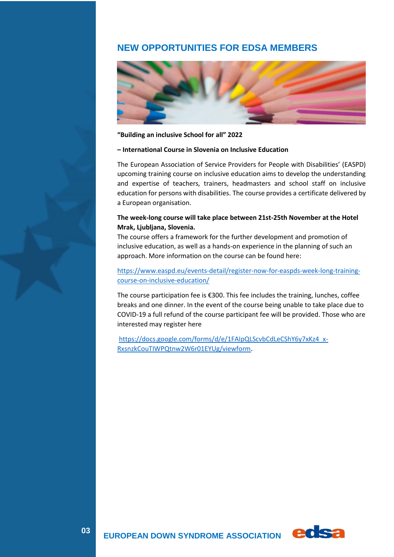# **NEW OPPORTUNITIES FOR EDSA MEMBERS**



### **"Building an inclusive School for all" 2022**

### **– International Course in Slovenia on Inclusive Education**

The European Association of Service Providers for People with Disabilities' (EASPD) upcoming training course on inclusive education aims to develop the understanding and expertise of teachers, trainers, headmasters and school staff on inclusive education for persons with disabilities. The course provides a certificate delivered by a European organisation.

### **The week-long course will take place between 21st-25th November at the Hotel Mrak, Ljubljana, Slovenia.**

The course offers a framework for the further development and promotion of inclusive education, as well as a hands-on experience in the planning of such an approach. More information on the course can be found here:

## [https://www.easpd.eu/events-detail/register-now-for-easpds-week-long-training](https://www.easpd.eu/events-detail/register-now-for-easpds-week-long-training-course-on-inclusive-education/)[course-on-inclusive-education/](https://www.easpd.eu/events-detail/register-now-for-easpds-week-long-training-course-on-inclusive-education/)

The course participation fee is €300. This fee includes the training, lunches, coffee breaks and one dinner. In the event of the course being unable to take place due to COVID-19 a full refund of the course participant fee will be provided. Those who are interested may register here

[https://docs.google.com/forms/d/e/1FAIpQLScvbCdLeCShY6y7xKz4\\_x-](https://docs.google.com/forms/d/e/1FAIpQLScvbCdLeCShY6y7xKz4_x-RxsnzkCouTIWPQtnw2W6r01EYUg/viewform)[RxsnzkCouTIWPQtnw2W6r01EYUg/viewform.](https://docs.google.com/forms/d/e/1FAIpQLScvbCdLeCShY6y7xKz4_x-RxsnzkCouTIWPQtnw2W6r01EYUg/viewform)

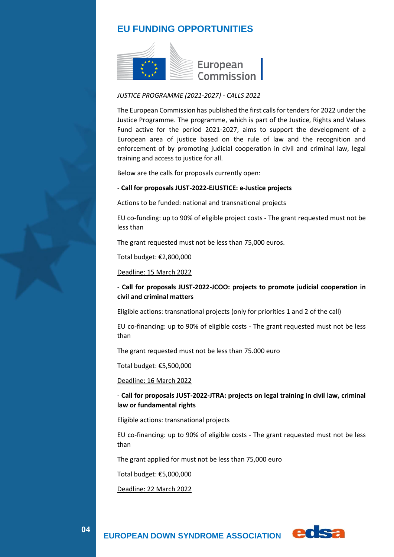# **EU FUNDING OPPORTUNITIES**



### *JUSTICE PROGRAMME (2021-2027) - CALLS 2022*

The European Commission has published the first calls for tenders for 2022 under the Justice Programme. The programme, which is part of the Justice, Rights and Values Fund active for the period 2021-2027, aims to support the development of a European area of justice based on the rule of law and the recognition and enforcement of by promoting judicial cooperation in civil and criminal law, legal training and access to justice for all.

Below are the calls for proposals currently open:

#### - **Call for proposals JUST-2022-EJUSTICE: e-Justice projects**

Actions to be funded: national and transnational projects

EU co-funding: up to 90% of eligible project costs - The grant requested must not be less than

The grant requested must not be less than 75,000 euros.

Total budget: €2,800,000

Deadline: 15 March 2022

## - **Call for proposals JUST-2022-JCOO: projects to promote judicial cooperation in civil and criminal matters**

Eligible actions: transnational projects (only for priorities 1 and 2 of the call)

EU co-financing: up to 90% of eligible costs - The grant requested must not be less than

The grant requested must not be less than 75.000 euro

Total budget: €5,500,000

Deadline: 16 March 2022

### - **Call for proposals JUST-2022-JTRA: projects on legal training in civil law, criminal law or fundamental rights**

Eligible actions: transnational projects

EU co-financing: up to 90% of eligible costs - The grant requested must not be less than

The grant applied for must not be less than 75,000 euro

Total budget: €5,000,000

Deadline: 22 March 2022

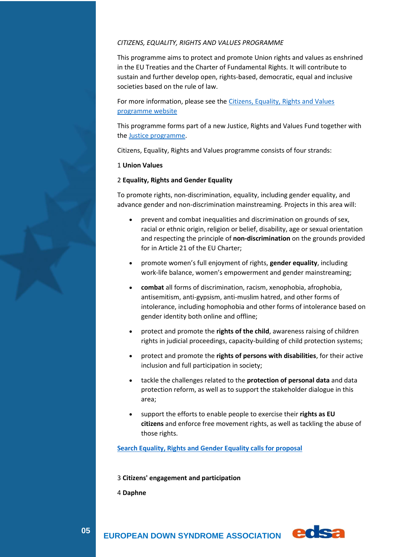### *CITIZENS, EQUALITY, RIGHTS AND VALUES PROGRAMME*

This programme aims to protect and promote Union rights and values as enshrined in the EU Treaties and the Charter of Fundamental Rights. It will contribute to sustain and further develop open, rights-based, democratic, equal and inclusive societies based on the rule of law.

For more information, please see the [Citizens, Equality, Rights and Values](https://ec.europa.eu/info/departments/justice-and-consumers/justice-and-consumers-funding-tenders_en)  [programme website](https://ec.europa.eu/info/departments/justice-and-consumers/justice-and-consumers-funding-tenders_en)

This programme forms part of a new Justice, Rights and Values Fund together with the [Justice programme.](https://ec.europa.eu/info/funding-tenders/opportunities/portal/screen/programmes/just2027)

Citizens, Equality, Rights and Values programme consists of four strands:

#### 1 **Union Values**

#### 2 **Equality, Rights and Gender Equality**

To promote rights, non-discrimination, equality, including gender equality, and advance gender and non-discrimination mainstreaming. Projects in this area will:

- prevent and combat inequalities and discrimination on grounds of sex, racial or ethnic origin, religion or belief, disability, age or sexual orientation and respecting the principle of **non-discrimination** on the grounds provided for in Article 21 of the EU Charter;
- promote women's full enjoyment of rights, **gender equality**, including work-life balance, women's empowerment and gender mainstreaming;
- **combat** all forms of discrimination, racism, xenophobia, afrophobia, antisemitism, anti-gypsism, anti-muslim hatred, and other forms of intolerance, including homophobia and other forms of intolerance based on gender identity both online and offline;
- protect and promote the **rights of the child**, awareness raising of children rights in judicial proceedings, capacity-building of child protection systems;
- protect and promote the **rights of persons with disabilities**, for their active inclusion and full participation in society;
- tackle the challenges related to the **protection of personal data** and data protection reform, as well as to support the stakeholder dialogue in this area;
- support the efforts to enable people to exercise their **rights as EU citizens** and enforce free movement rights, as well as tackling the abuse of those rights.

**[Search Equality, Rights and Gender Equality calls for proposal](javascript:;)**

3 **Citizens' engagement and participation**

4 **Daphne**

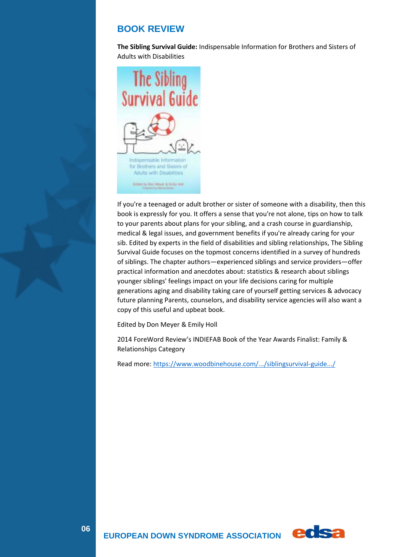# **BOOK REVIEW**

**The Sibling Survival Guide:** Indispensable Information for Brothers and Sisters of Adults with Disabilities



If you're a teenaged or adult brother or sister of someone with a disability, then this book is expressly for you. It offers a sense that you're not alone, tips on how to talk to your parents about plans for your sibling, and a crash course in guardianship, medical & legal issues, and government benefits if you're already caring for your sib. Edited by experts in the field of disabilities and sibling relationships, The Sibling Survival Guide focuses on the topmost concerns identified in a survey of hundreds of siblings. The chapter authors—experienced siblings and service providers—offer practical information and anecdotes about: statistics & research about siblings younger siblings' feelings impact on your life decisions caring for multiple generations aging and disability taking care of yourself getting services & advocacy future planning Parents, counselors, and disability service agencies will also want a copy of this useful and upbeat book.

Edited by Don Meyer & Emily Holl

2014 ForeWord Review's INDIEFAB Book of the Year Awards Finalist: Family & Relationships Category

Read more[: https://www.woodbinehouse.com/.../siblingsurvival-guide.../](https://l.facebook.com/l.php?u=https%3A%2F%2Fwww.woodbinehouse.com%2Fproduct%2Fsiblingsurvival-guide-indispensable-information-brotherssisters-adults-disabilities%2F%3Ffbclid%3DIwAR0csQ1ovtDoIBjZZdAKHnOzwUJs0bU-KtCMZGFQD_UYztagLrp5hqaKujc&h=AT0eR2zCIUt_H-GgaaRrabsogdAbDqfjIFZduQFy0cEp8SF9xFFVH9t1TyXYVayYFt12nRR_Wja8wSL4ZJEOORdmb7dZE3LnpomZiq3KoSkwHqjfj7fh5gezAEWhy8oMTvu_&__tn__=-UK-R&c%5b0%5d=AT01Kkj6tKqr1l1Ds_XECDavMRuxtTR4fxe60y5wAFuyMvbzMPNzii_4BUgzZarP-L81Hm-Y3IAUmxdylb1L9iGZRz7FUD2WJfLkD_58qSZjtLoSmj9SsUlKkIanCKyA9bwgSBNXsI0Hu8EB9jtkMrIaD3gyibEILefIjAAy7S6JSQA)



 **EUROPEAN DOWN SYNDROME ASSOCIATION**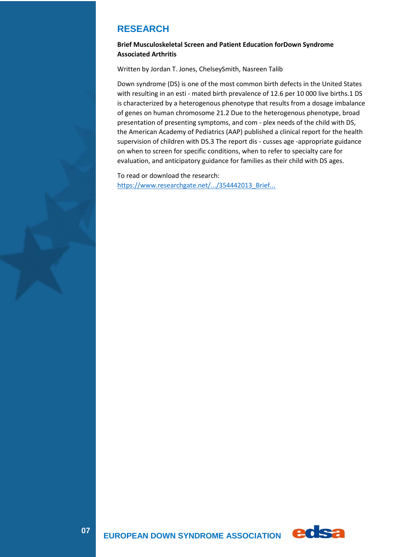# **RESEARCH**

## **Brief Musculoskeletal Screen and Patient Education forDown Syndrome Associated Arthritis**

Written by Jordan T. Jones, ChelseySmith, Nasreen Talib

Down syndrome (DS) is one of the most common birth defects in the United States with resulting in an esti - mated birth prevalence of 12.6 per 10 000 live births.1 DS is characterized by a heterogenous phenotype that results from a dosage imbalance of genes on human chromosome 21.2 Due to the heterogenous phenotype, broad presentation of presenting symptoms, and com - plex needs of the child with DS, the American Academy of Pediatrics (AAP) published a clinical report for the health supervision of children with DS.3 The report dis - cusses age -appropriate guidance on when to screen for specific conditions, when to refer to specialty care for evaluation, and anticipatory guidance for families as their child with DS ages.

To read or download the research: [https://www.researchgate.net/.../354442013\\_Brief...](https://l.facebook.com/l.php?u=https%3A%2F%2Fwww.researchgate.net%2Fpublication%2F354442013_Brief_Musculoskeletal_Screen_and_Patient_Education_for_Down_Syndrome-Associated_Arthritis%3Ffbclid%3DIwAR1vJMDJKkGqijQfpws0eThhOZ3ekv_H9WRzx1DhGHb9Nxs4_FUNyyXS3mY&h=AT2baqPL5NJzNl_8p7CcVspEdyYzzzJqHHIYaEI1-NRTj1YV-wrI8iJjb2Wp9L9cBppkH8Zh1JSol7HG2f9SjkizPPRot7u_w7mrePLJ5AVZW5QAAhJx_UMYJKRy6Pp76q-T&__tn__=-UK-R&c%5b0%5d=AT31CZmcWHqh_NbzRZOkH1jKIdKyzjmjF1OHvF25N5Mw-NHfqTO6EzggzVdfidi7-tYhWQJ9GqLDOk_IrPhqRWM8SI9rXChlsifNtd7LxKvJDzYyWArCwHCeeoZ1sknx8qmedIuS2fb6rhwY5TAN2dccEp0EPkJerxV3H6bt5y32Z00)

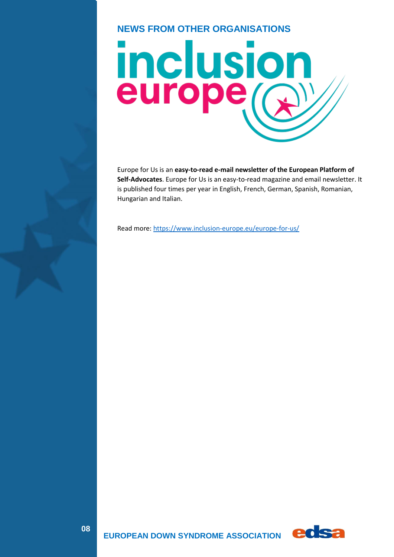# **NEWS FROM OTHER ORGANISATIONS**



Europe for Us is an **easy-to-read e-mail newsletter of the European Platform of Self-Advocates**. Europe for Us is an easy-to-read magazine and email newsletter. It is published four times per year in English, French, German, Spanish, Romanian, Hungarian and Italian.

Read more[: https://www.inclusion-europe.eu/europe-for-us/](https://www.inclusion-europe.eu/europe-for-us/)